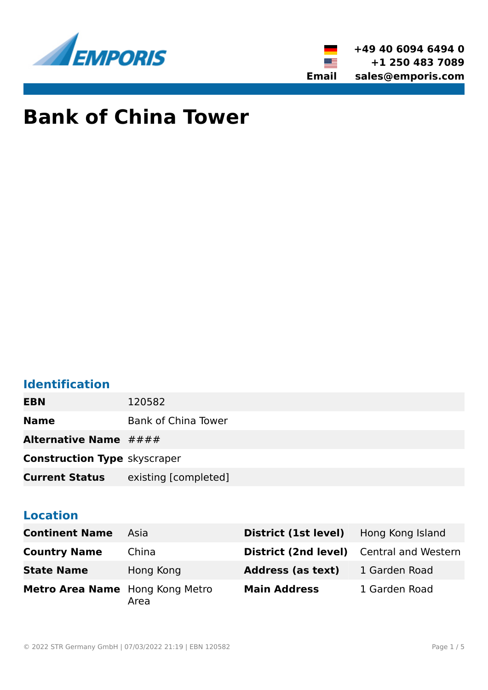



# **Bank of China Tower**

## **Identification**

**EBN** 120582

**Name** Bank of China Tower

Alternative Name  $\# \# \#$ 

**Construction Type** skyscraper

**Current Status** existing [completed]

## **Location**

| <b>Continent Name</b>           | Asia      | District (1st level)                            | Hong Kong Island |
|---------------------------------|-----------|-------------------------------------------------|------------------|
| <b>Country Name</b>             | China     | <b>District (2nd level)</b> Central and Western |                  |
| <b>State Name</b>               | Hong Kong | <b>Address (as text)</b>                        | 1 Garden Road    |
| Metro Area Name Hong Kong Metro | Area      | <b>Main Address</b>                             | 1 Garden Road    |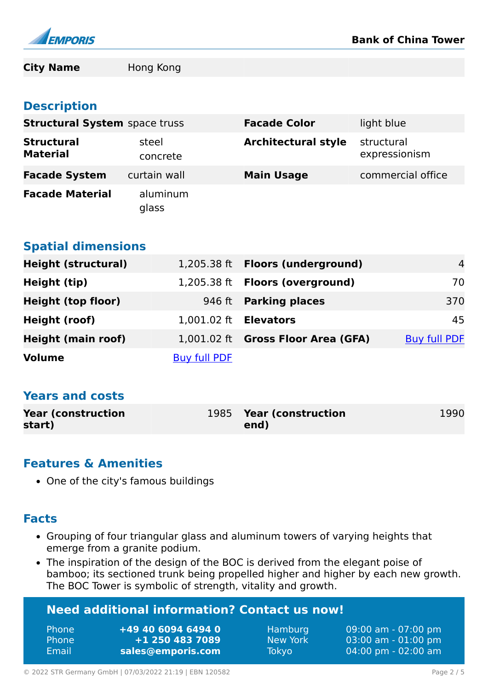

**City Name** Hong Kong

#### **Description**

| <b>Structural System</b> space truss |                   | <b>Facade Color</b>        | light blue                  |
|--------------------------------------|-------------------|----------------------------|-----------------------------|
| <b>Structural</b><br><b>Material</b> | steel<br>concrete | <b>Architectural style</b> | structural<br>expressionism |
| <b>Facade System</b>                 | curtain wall      | <b>Main Usage</b>          | commercial office           |
| <b>Facade Material</b>               | aluminum<br>glass |                            |                             |

#### **Spatial dimensions**

| <b>Height (structural)</b> |                              | 1,205.38 ft Floors (underground)   | $\overline{4}$      |
|----------------------------|------------------------------|------------------------------------|---------------------|
| Height (tip)               |                              | 1,205.38 ft Floors (overground)    | 70                  |
| <b>Height (top floor)</b>  |                              | 946 ft <b>Parking places</b>       | 370                 |
| Height (roof)              | 1,001.02 ft <b>Elevators</b> |                                    | 45                  |
| <b>Height (main roof)</b>  |                              | 1,001.02 ft Gross Floor Area (GFA) | <b>Buy full PDF</b> |
| <b>Volume</b>              | <b>Buy full PDF</b>          |                                    |                     |

## **Years and costs**

| <b>Year (construction)</b> | 1985 Year (construction | 1990 |
|----------------------------|-------------------------|------|
| start)                     | end)                    |      |

#### **Features & Amenities**

• One of the city's famous buildings

#### **Facts**

- Grouping of four triangular glass and aluminum towers of varying heights that emerge from a granite podium.
- The inspiration of the design of the BOC is derived from the elegant poise of bamboo; its sectioned trunk being propelled higher and higher by each new growth. The BOC Tower is symbolic of strength, vitality and growth.

| <b>Need additional information? Contact us now!</b> |                    |              |                     |  |
|-----------------------------------------------------|--------------------|--------------|---------------------|--|
| Phone                                               | +49 40 6094 6494 0 | Hamburg      | 09:00 am - 07:00 pm |  |
| Phone                                               | +1 250 483 7089    | New York     | 03:00 am - 01:00 pm |  |
| Email                                               | sales@emporis.com  | <b>Tokyo</b> | 04:00 pm - 02:00 am |  |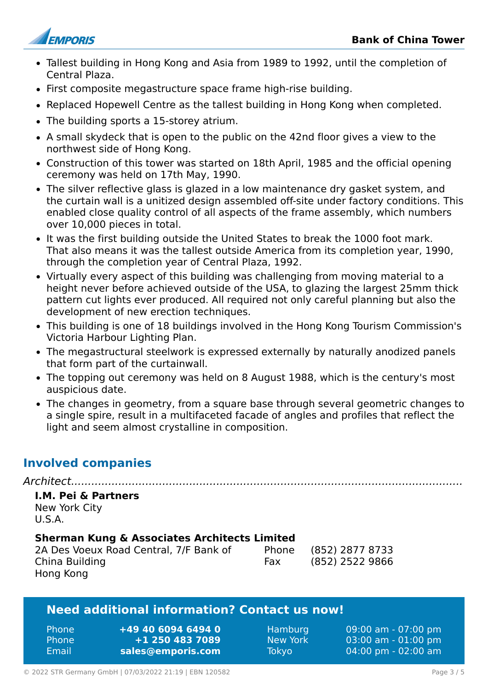

- Tallest building in Hong Kong and Asia from 1989 to 1992, until the completion of Central Plaza.
- First composite megastructure space frame high-rise building.
- Replaced Hopewell Centre as the tallest building in Hong Kong when completed.
- The building sports a 15-storey atrium.
- A small skydeck that is open to the public on the 42nd floor gives a view to the northwest side of Hong Kong.
- Construction of this tower was started on 18th April, 1985 and the official opening ceremony was held on 17th May, 1990.
- The silver reflective glass is glazed in a low maintenance dry gasket system, and the curtain wall is a unitized design assembled off-site under factory conditions. This enabled close quality control of all aspects of the frame assembly, which numbers over 10,000 pieces in total.
- It was the first building outside the United States to break the 1000 foot mark. That also means it was the tallest outside America from its completion year, 1990, through the completion year of Central Plaza, 1992.
- Virtually every aspect of this building was challenging from moving material to a height never before achieved outside of the USA, to glazing the largest 25mm thick pattern cut lights ever produced. All required not only careful planning but also the development of new erection techniques.
- This building is one of 18 buildings involved in the Hong Kong Tourism Commission's Victoria Harbour Lighting Plan.
- The megastructural steelwork is expressed externally by naturally anodized panels that form part of the curtainwall.
- The topping out ceremony was held on 8 August 1988, which is the century's most auspicious date.
- The changes in geometry, from a square base through several geometric changes to a single spire, result in a multifaceted facade of angles and profiles that reflect the light and seem almost crystalline in composition.

## **Involved companies**

#### *Architect....................................................................................................................* **I.M. Pei & Partners**

New York City U.S.A.

#### **Sherman Kung & Associates Architects Limited**

| 2A Des Voeux Road Central, 7/F Bank of |  |
|----------------------------------------|--|
| China Building                         |  |
| Hong Kong                              |  |

Phone (852) 2877 8733 Fax (852) 2522 9866

#### **Need additional information? Contact us now!**

| <b>Phone</b> | +49 40 6094 6494 0 |
|--------------|--------------------|
| <b>Phone</b> | +1 250 483 7089    |
| Email        | sales@emporis.com  |

Hamburg 09:00 am - 07:00 pm New York 03:00 am - 01:00 pm Tokyo 04:00 pm - 02:00 am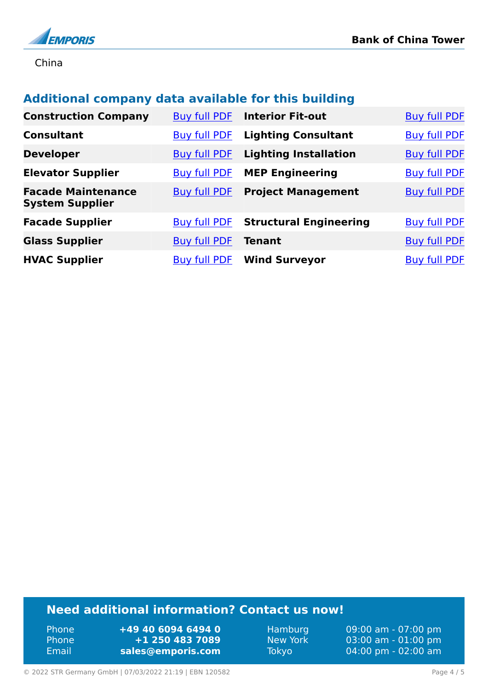

China

## **Additional company data available for this building**

| <b>Construction Company</b>                         | <b>Buy full PDF</b> | <b>Interior Fit-out</b>       | <b>Buy full PDF</b> |
|-----------------------------------------------------|---------------------|-------------------------------|---------------------|
| <b>Consultant</b>                                   | <b>Buy full PDF</b> | <b>Lighting Consultant</b>    | <b>Buy full PDF</b> |
| <b>Developer</b>                                    | <b>Buy full PDF</b> | <b>Lighting Installation</b>  | <b>Buy full PDF</b> |
| <b>Elevator Supplier</b>                            | <b>Buy full PDF</b> | <b>MEP Engineering</b>        | <b>Buy full PDF</b> |
| <b>Facade Maintenance</b><br><b>System Supplier</b> | <b>Buy full PDF</b> | <b>Project Management</b>     | <b>Buy full PDF</b> |
| <b>Facade Supplier</b>                              | <b>Buy full PDF</b> | <b>Structural Engineering</b> | <b>Buy full PDF</b> |
| <b>Glass Supplier</b>                               | <b>Buy full PDF</b> | <b>Tenant</b>                 | <b>Buy full PDF</b> |
| <b>HVAC Supplier</b>                                | <b>Buy full PDF</b> | <b>Wind Surveyor</b>          | <b>Buy full PDF</b> |

## **Need additional information? Contact us now!**

Phone **+49 40 6094 6494 0** Phone **+1 250 483 7089** Email **<sales@emporis.com>**

Hamburg 09:00 am - 07:00 pm New York 03:00 am - 01:00 pm<br>Tokyo 04:00 pm - 02:00 am 04:00 pm - 02:00 am